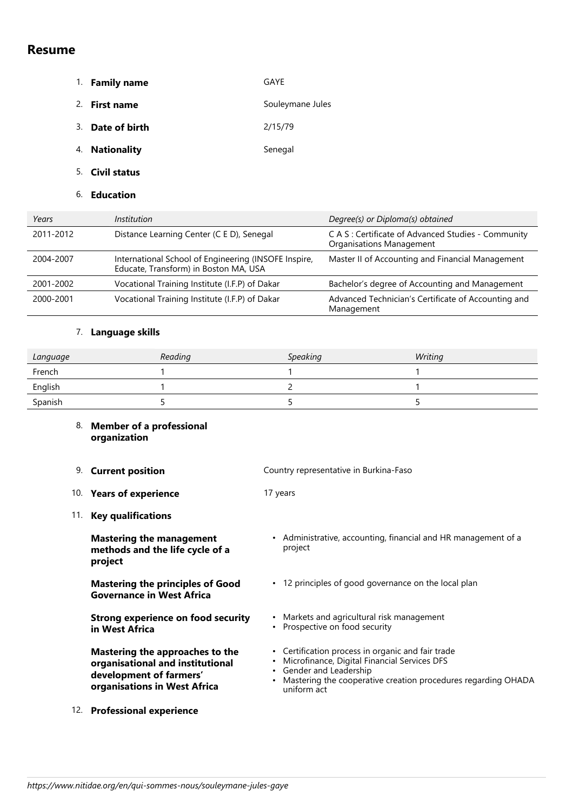# **Resume**

- 1. **Family name** GAYE 2. **First name** Souleymane Jules
- 3. **Date of birth** 2/15/79
- 4. **Nationality** Senegal
- 5. **Civil status**
- 6. **Education**

| Years     | <i>Institution</i>                                                                            | Degree(s) or Diploma(s) obtained                                                |
|-----------|-----------------------------------------------------------------------------------------------|---------------------------------------------------------------------------------|
| 2011-2012 | Distance Learning Center (C E D), Senegal                                                     | C A S : Certificate of Advanced Studies - Community<br>Organisations Management |
| 2004-2007 | International School of Engineering (INSOFE Inspire,<br>Educate, Transform) in Boston MA, USA | Master II of Accounting and Financial Management                                |
| 2001-2002 | Vocational Training Institute (I.F.P) of Dakar                                                | Bachelor's degree of Accounting and Management                                  |
| 2000-2001 | Vocational Training Institute (I.F.P) of Dakar                                                | Advanced Technician's Certificate of Accounting and<br>Management               |

# 7. **Language skills**

| Language | Reading | <b>Speaking</b> | Writing |
|----------|---------|-----------------|---------|
| French   |         |                 |         |
| English  |         |                 |         |
| Spanish  |         |                 |         |

project

### 8. **Member of a professional organization**

- 9. **Current position** Country representative in Burkina-Faso
- 10. **Years of experience** 17 years
- 11. **Key qualifications**

**Mastering the management methods and the life cycle of a project**

**Mastering the principles of Good Governance in West Africa**

**Strong experience on food security in West Africa**

**Mastering the approaches to the organisational and institutional development of farmers' organisations in West Africa**

- 
- 12 principles of good governance on the local plan Markets and agricultural risk management • • Prospective on food security Certification process in organic and fair trade •

• Administrative, accounting, financial and HR management of a

- Microfinance, Digital Financial Services DFS •
- Gender and Leadership
- Mastering the cooperative creation procedures regarding OHADA uniform act
- 12. **Professional experience**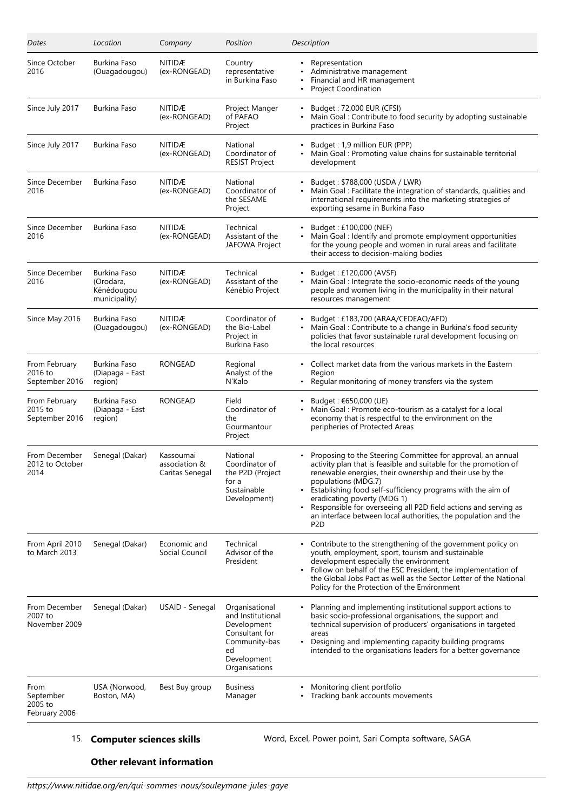| Dates                                         | Location                                                 | Company                                       | Position                                                                                                                    | Description                                                                                                                                                                                                                                                                                                                                                                                                                                                                            |
|-----------------------------------------------|----------------------------------------------------------|-----------------------------------------------|-----------------------------------------------------------------------------------------------------------------------------|----------------------------------------------------------------------------------------------------------------------------------------------------------------------------------------------------------------------------------------------------------------------------------------------------------------------------------------------------------------------------------------------------------------------------------------------------------------------------------------|
| Since October<br>2016                         | Burkina Faso<br>(Ouagadougou)                            | <b>NITIDÆ</b><br>(ex-RONGEAD)                 | Country<br>representative<br>in Burkina Faso                                                                                | • Representation<br>Administrative management<br>Financial and HR management<br>$\bullet$<br><b>Project Coordination</b>                                                                                                                                                                                                                                                                                                                                                               |
| Since July 2017                               | Burkina Faso                                             | NITIDÆ<br>(ex-RONGEAD)                        | Project Manger<br>of PAFAO<br>Project                                                                                       | Budget: 72,000 EUR (CFSI)<br>Main Goal: Contribute to food security by adopting sustainable<br>practices in Burkina Faso                                                                                                                                                                                                                                                                                                                                                               |
| Since July 2017                               | Burkina Faso                                             | <b>NITIDÆ</b><br>(ex-RONGEAD)                 | National<br>Coordinator of<br><b>RESIST Project</b>                                                                         | Budget: 1,9 million EUR (PPP)<br>Main Goal: Promoting value chains for sustainable territorial<br>development                                                                                                                                                                                                                                                                                                                                                                          |
| Since December<br>2016                        | Burkina Faso                                             | <b>NITIDÆ</b><br>(ex-RONGEAD)                 | National<br>Coordinator of<br>the SESAME<br>Project                                                                         | Budget: \$788,000 (USDA / LWR)<br>Main Goal : Facilitate the integration of standards, qualities and<br>international requirements into the marketing strategies of<br>exporting sesame in Burkina Faso                                                                                                                                                                                                                                                                                |
| Since December<br>2016                        | Burkina Faso                                             | <b>NITIDÆ</b><br>(ex-RONGEAD)                 | Technical<br>Assistant of the<br>JAFOWA Project                                                                             | Budget: £100,000 (NEF)<br>Main Goal : Identify and promote employment opportunities<br>for the young people and women in rural areas and facilitate<br>their access to decision-making bodies                                                                                                                                                                                                                                                                                          |
| Since December<br>2016                        | Burkina Faso<br>(Orodara,<br>Kénédougou<br>municipality) | <b>NITIDÆ</b><br>(ex-RONGEAD)                 | Technical<br>Assistant of the<br>Kénébio Project                                                                            | Budget: £120,000 (AVSF)<br>Main Goal : Integrate the socio-economic needs of the young<br>people and women living in the municipality in their natural<br>resources management                                                                                                                                                                                                                                                                                                         |
| Since May 2016                                | Burkina Faso<br>(Ouagadougou)                            | <b>NITIDÆ</b><br>(ex-RONGEAD)                 | Coordinator of<br>the Bio-Label<br>Project in<br>Burkina Faso                                                               | Budget: £183,700 (ARAA/CEDEAO/AFD)<br>Main Goal: Contribute to a change in Burkina's food security<br>$\bullet$<br>policies that favor sustainable rural development focusing on<br>the local resources                                                                                                                                                                                                                                                                                |
| From February<br>2016 to<br>September 2016    | Burkina Faso<br>(Diapaga - East<br>region)               | RONGEAD                                       | Regional<br>Analyst of the<br>N'Kalo                                                                                        | • Collect market data from the various markets in the Eastern<br>Region<br>Regular monitoring of money transfers via the system                                                                                                                                                                                                                                                                                                                                                        |
| From February<br>2015 to<br>September 2016    | Burkina Faso<br>(Diapaga - East<br>region)               | RONGEAD                                       | Field<br>Coordinator of<br>the<br>Gourmantour<br>Project                                                                    | Budget : €650,000 (UE)<br>Main Goal : Promote eco-tourism as a catalyst for a local<br>economy that is respectful to the environment on the<br>peripheries of Protected Areas                                                                                                                                                                                                                                                                                                          |
| From December<br>2012 to October<br>2014      | Senegal (Dakar)                                          | Kassoumai<br>association &<br>Caritas Senegal | National<br>Coordinator of<br>the P2D (Project<br>for a<br>Sustainable<br>Development)                                      | Proposing to the Steering Committee for approval, an annual<br>activity plan that is feasible and suitable for the promotion of<br>renewable energies, their ownership and their use by the<br>populations (MDG.7)<br>Establishing food self-sufficiency programs with the aim of<br>$\bullet$<br>eradicating poverty (MDG 1)<br>Responsible for overseeing all P2D field actions and serving as<br>an interface between local authorities, the population and the<br>P <sub>2</sub> D |
| From April 2010<br>to March 2013              | Senegal (Dakar)                                          | Economic and<br>Social Council                | Technical<br>Advisor of the<br>President                                                                                    | Contribute to the strengthening of the government policy on<br>youth, employment, sport, tourism and sustainable<br>development especially the environment<br>Follow on behalf of the ESC President, the implementation of<br>$\bullet$<br>the Global Jobs Pact as well as the Sector Letter of the National<br>Policy for the Protection of the Environment                                                                                                                           |
| From December<br>2007 to<br>November 2009     | Senegal (Dakar)                                          | USAID - Senegal                               | Organisational<br>and Institutional<br>Development<br>Consultant for<br>Community-bas<br>ed<br>Development<br>Organisations | Planning and implementing institutional support actions to<br>basic socio-professional organisations, the support and<br>technical supervision of producers' organisations in targeted<br>areas<br>Designing and implementing capacity building programs<br>intended to the organisations leaders for a better governance                                                                                                                                                              |
| From<br>September<br>2005 to<br>February 2006 | USA (Norwood,<br>Boston, MA)                             | Best Buy group                                | <b>Business</b><br>Manager                                                                                                  | Monitoring client portfolio<br>Tracking bank accounts movements                                                                                                                                                                                                                                                                                                                                                                                                                        |

15. **Computer sciences skills** Word, Excel, Power point, Sari Compta software, SAGA

# **Other relevant information**